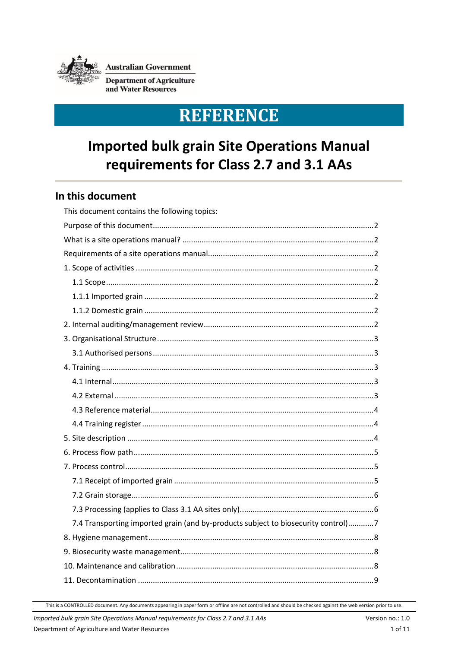

**Australian Government** 

**Department of Agriculture** and Water Resources

# **REFERENCE**

# **Imported bulk grain Site Operations Manual** requirements for Class 2.7 and 3.1 AAs

## In this document

| This document contains the following topics:                                      |
|-----------------------------------------------------------------------------------|
|                                                                                   |
|                                                                                   |
|                                                                                   |
|                                                                                   |
|                                                                                   |
|                                                                                   |
|                                                                                   |
|                                                                                   |
|                                                                                   |
|                                                                                   |
|                                                                                   |
|                                                                                   |
|                                                                                   |
|                                                                                   |
|                                                                                   |
|                                                                                   |
|                                                                                   |
|                                                                                   |
|                                                                                   |
|                                                                                   |
|                                                                                   |
| 7.4 Transporting imported grain (and by-products subject to biosecurity control)7 |
|                                                                                   |
|                                                                                   |
|                                                                                   |
|                                                                                   |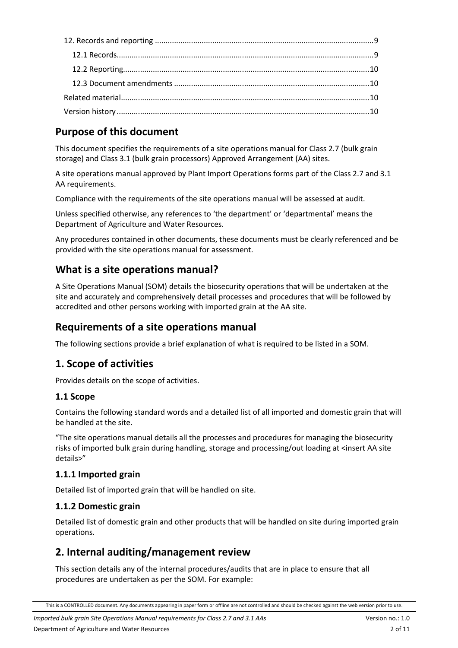# <span id="page-1-0"></span>**Purpose of this document**

This document specifies the requirements of a site operations manual for Class 2.7 (bulk grain storage) and Class 3.1 (bulk grain processors) Approved Arrangement (AA) sites.

A site operations manual approved by Plant Import Operations forms part of the Class 2.7 and 3.1 AA requirements.

Compliance with the requirements of the site operations manual will be assessed at audit.

Unless specified otherwise, any references to 'the department' or 'departmental' means the Department of Agriculture and Water Resources.

Any procedures contained in other documents, these documents must be clearly referenced and be provided with the site operations manual for assessment.

## <span id="page-1-1"></span>**What is a site operations manual?**

A Site Operations Manual (SOM) details the biosecurity operations that will be undertaken at the site and accurately and comprehensively detail processes and procedures that will be followed by accredited and other persons working with imported grain at the AA site.

# <span id="page-1-2"></span>**Requirements of a site operations manual**

The following sections provide a brief explanation of what is required to be listed in a SOM.

# <span id="page-1-3"></span>**1. Scope of activities**

Provides details on the scope of activities.

## <span id="page-1-4"></span>**1.1 Scope**

Contains the following standard words and a detailed list of all imported and domestic grain that will be handled at the site.

"The site operations manual details all the processes and procedures for managing the biosecurity risks of imported bulk grain during handling, storage and processing/out loading at <insert AA site details>"

## <span id="page-1-5"></span>**1.1.1 Imported grain**

Detailed list of imported grain that will be handled on site.

## <span id="page-1-6"></span>**1.1.2 Domestic grain**

Detailed list of domestic grain and other products that will be handled on site during imported grain operations.

# <span id="page-1-7"></span>**2. Internal auditing/management review**

This section details any of the internal procedures/audits that are in place to ensure that all procedures are undertaken as per the SOM. For example:

This is a CONTROLLED document. Any documents appearing in paper form or offline are not controlled and should be checked against the web version prior to use.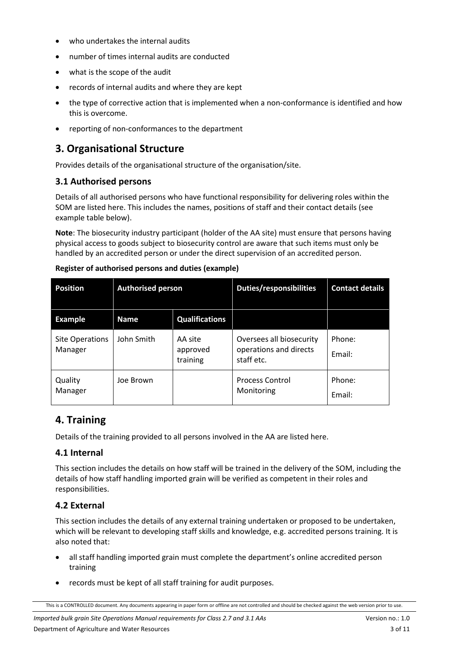- who undertakes the internal audits
- number of times internal audits are conducted
- what is the scope of the audit
- records of internal audits and where they are kept
- the type of corrective action that is implemented when a non-conformance is identified and how this is overcome.
- reporting of non-conformances to the department

# <span id="page-2-0"></span>**3. Organisational Structure**

Provides details of the organisational structure of the organisation/site.

## <span id="page-2-1"></span>**3.1 Authorised persons**

Details of all authorised persons who have functional responsibility for delivering roles within the SOM are listed here. This includes the names, positions of staff and their contact details (see example table below).

**Note**: The biosecurity industry participant (holder of the AA site) must ensure that persons having physical access to goods subject to biosecurity control are aware that such items must only be handled by an accredited person or under the direct supervision of an accredited person.

| <b>Position</b>                   | <b>Authorised person</b> |                                 | <b>Duties/responsibilities</b>                                   | <b>Contact details</b> |
|-----------------------------------|--------------------------|---------------------------------|------------------------------------------------------------------|------------------------|
| <b>Example</b>                    | <b>Name</b>              | <b>Qualifications</b>           |                                                                  |                        |
| <b>Site Operations</b><br>Manager | John Smith               | AA site<br>approved<br>training | Oversees all biosecurity<br>operations and directs<br>staff etc. | Phone:<br>Fmail:       |
| Quality<br>Manager                | Joe Brown                |                                 | <b>Process Control</b><br>Monitoring                             | Phone:<br>Email:       |

**Register of authorised persons and duties (example)**

# <span id="page-2-2"></span>**4. Training**

Details of the training provided to all persons involved in the AA are listed here.

## <span id="page-2-3"></span>**4.1 Internal**

This section includes the details on how staff will be trained in the delivery of the SOM, including the details of how staff handling imported grain will be verified as competent in their roles and responsibilities.

## <span id="page-2-4"></span>**4.2 External**

This section includes the details of any external training undertaken or proposed to be undertaken, which will be relevant to developing staff skills and knowledge, e.g. accredited persons training. It is also noted that:

- all staff handling imported grain must complete the department's online accredited person training
- records must be kept of all staff training for audit purposes.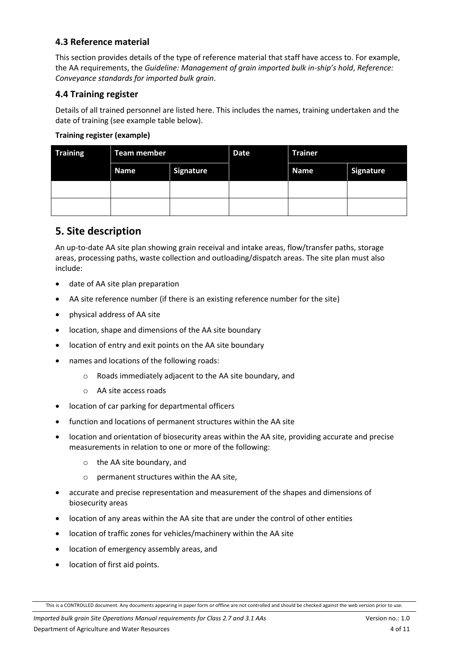### <span id="page-3-0"></span>**4.3 Reference material**

This section provides details of the type of reference material that staff have access to. For example, the AA requirements, the *Guideline: Management of grain imported bulk in-ship's hold*, *Reference: Conveyance standards for imported bulk grain*.

### <span id="page-3-1"></span>**4.4 Training register**

Details of all trained personnel are listed here. This includes the names, training undertaken and the date of training (see example table below).

#### **Training register (example)**

| <b>Training</b> | <b>Team member</b> |                  | <b>Date</b> | <b>Trainer</b> |                  |
|-----------------|--------------------|------------------|-------------|----------------|------------------|
|                 | <b>Name</b>        | <b>Signature</b> |             | <b>Name</b>    | <b>Signature</b> |
|                 |                    |                  |             |                |                  |
|                 |                    |                  |             |                |                  |

## <span id="page-3-2"></span>**5. Site description**

An up-to-date AA site plan showing grain receival and intake areas, flow/transfer paths, storage areas, processing paths, waste collection and outloading/dispatch areas. The site plan must also include:

- date of AA site plan preparation
- AA site reference number (if there is an existing reference number for the site)
- physical address of AA site
- location, shape and dimensions of the AA site boundary
- location of entry and exit points on the AA site boundary
- names and locations of the following roads:
	- o Roads immediately adjacent to the AA site boundary, and
	- o AA site access roads
- location of car parking for departmental officers
- function and locations of permanent structures within the AA site
- location and orientation of biosecurity areas within the AA site, providing accurate and precise measurements in relation to one or more of the following:
	- o the AA site boundary, and
	- o permanent structures within the AA site,
- accurate and precise representation and measurement of the shapes and dimensions of biosecurity areas
- location of any areas within the AA site that are under the control of other entities
- location of traffic zones for vehicles/machinery within the AA site
- location of emergency assembly areas, and
- location of first aid points.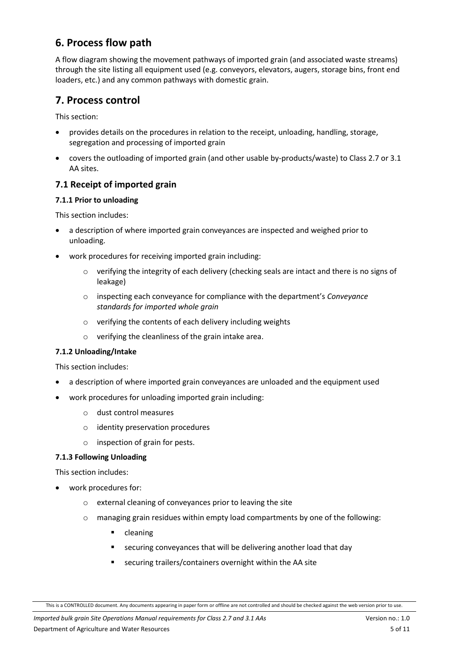# <span id="page-4-0"></span>**6. Process flow path**

A flow diagram showing the movement pathways of imported grain (and associated waste streams) through the site listing all equipment used (e.g. conveyors, elevators, augers, storage bins, front end loaders, etc.) and any common pathways with domestic grain.

# <span id="page-4-1"></span>**7. Process control**

This section:

- provides details on the procedures in relation to the receipt, unloading, handling, storage, segregation and processing of imported grain
- covers the outloading of imported grain (and other usable by-products/waste) to Class 2.7 or 3.1 AA sites.

## <span id="page-4-2"></span>**7.1 Receipt of imported grain**

#### **7.1.1 Prior to unloading**

This section includes:

- a description of where imported grain conveyances are inspected and weighed prior to unloading.
- work procedures for receiving imported grain including:
	- $\circ$  verifying the integrity of each delivery (checking seals are intact and there is no signs of leakage)
	- o inspecting each conveyance for compliance with the department's *Conveyance standards for imported whole grain*
	- o verifying the contents of each delivery including weights
	- o verifying the cleanliness of the grain intake area.

#### **7.1.2 Unloading/Intake**

This section includes:

- a description of where imported grain conveyances are unloaded and the equipment used
- work procedures for unloading imported grain including:
	- o dust control measures
	- o identity preservation procedures
	- o inspection of grain for pests.

#### **7.1.3 Following Unloading**

This section includes:

- work procedures for:
	- o external cleaning of conveyances prior to leaving the site
	- o managing grain residues within empty load compartments by one of the following:
		- **•** cleaning
		- securing conveyances that will be delivering another load that day
		- securing trailers/containers overnight within the AA site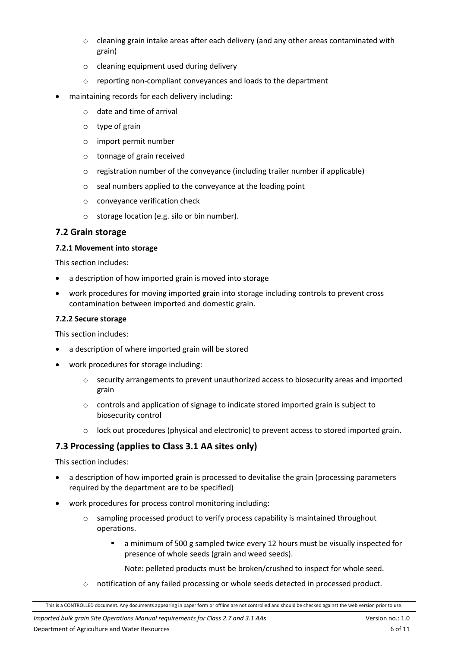- $\circ$  cleaning grain intake areas after each delivery (and any other areas contaminated with grain)
- o cleaning equipment used during delivery
- o reporting non-compliant conveyances and loads to the department
- maintaining records for each delivery including:
	- o date and time of arrival
	- o type of grain
	- o import permit number
	- o tonnage of grain received
	- $\circ$  registration number of the conveyance (including trailer number if applicable)
	- o seal numbers applied to the conveyance at the loading point
	- o conveyance verification check
	- o storage location (e.g. silo or bin number).

### <span id="page-5-0"></span>**7.2 Grain storage**

#### **7.2.1 Movement into storage**

This section includes:

- a description of how imported grain is moved into storage
- work procedures for moving imported grain into storage including controls to prevent cross contamination between imported and domestic grain.

#### **7.2.2 Secure storage**

This section includes:

- a description of where imported grain will be stored
- work procedures for storage including:
	- o security arrangements to prevent unauthorized access to biosecurity areas and imported grain
	- $\circ$  controls and application of signage to indicate stored imported grain is subject to biosecurity control
	- lock out procedures (physical and electronic) to prevent access to stored imported grain.

## <span id="page-5-1"></span>**7.3 Processing (applies to Class 3.1 AA sites only)**

This section includes:

- a description of how imported grain is processed to devitalise the grain (processing parameters required by the department are to be specified)
- work procedures for process control monitoring including:
	- $\circ$  sampling processed product to verify process capability is maintained throughout operations.
		- a minimum of 500 g sampled twice every 12 hours must be visually inspected for presence of whole seeds (grain and weed seeds).

Note: pelleted products must be broken/crushed to inspect for whole seed.

o notification of any failed processing or whole seeds detected in processed product.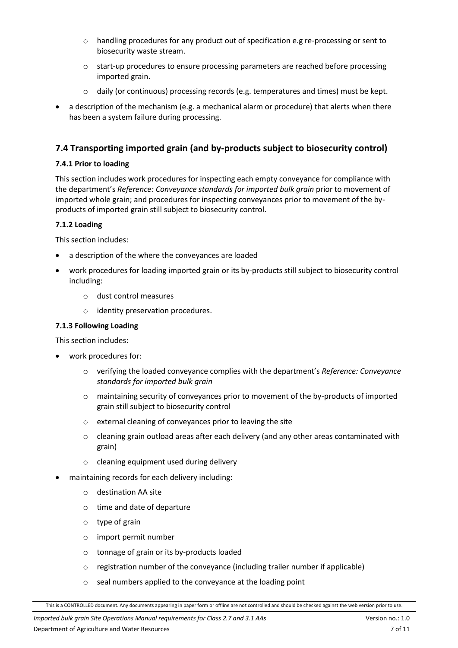- o handling procedures for any product out of specification e.g re-processing or sent to biosecurity waste stream.
- o start-up procedures to ensure processing parameters are reached before processing imported grain.
- $\circ$  daily (or continuous) processing records (e.g. temperatures and times) must be kept.
- a description of the mechanism (e.g. a mechanical alarm or procedure) that alerts when there has been a system failure during processing.

#### <span id="page-6-0"></span>**7.4 Transporting imported grain (and by-products subject to biosecurity control)**

#### **7.4.1 Prior to loading**

This section includes work procedures for inspecting each empty conveyance for compliance with the department's *Reference: Conveyance standards for imported bulk grain* prior to movement of imported whole grain; and procedures for inspecting conveyances prior to movement of the byproducts of imported grain still subject to biosecurity control.

#### **7.1.2 Loading**

This section includes:

- a description of the where the conveyances are loaded
- work procedures for loading imported grain or its by-products still subject to biosecurity control including:
	- o dust control measures
	- o identity preservation procedures.

#### **7.1.3 Following Loading**

This section includes:

- work procedures for:
	- o verifying the loaded conveyance complies with the department's *Reference: Conveyance standards for imported bulk grain*
	- o maintaining security of conveyances prior to movement of the by-products of imported grain still subject to biosecurity control
	- o external cleaning of conveyances prior to leaving the site
	- $\circ$  cleaning grain outload areas after each delivery (and any other areas contaminated with grain)
	- o cleaning equipment used during delivery
- maintaining records for each delivery including:
	- o destination AA site
	- o time and date of departure
	- o type of grain
	- o import permit number
	- o tonnage of grain or its by-products loaded
	- o registration number of the conveyance (including trailer number if applicable)
	- o seal numbers applied to the conveyance at the loading point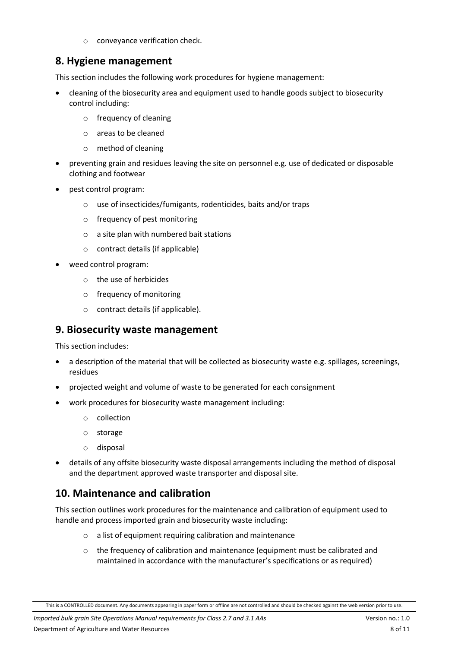conveyance verification check.

# <span id="page-7-0"></span>**8. Hygiene management**

This section includes the following work procedures for hygiene management:

- cleaning of the biosecurity area and equipment used to handle goods subject to biosecurity control including:
	- o frequency of cleaning
	- o areas to be cleaned
	- o method of cleaning
- preventing grain and residues leaving the site on personnel e.g. use of dedicated or disposable clothing and footwear
- pest control program:
	- o use of insecticides/fumigants, rodenticides, baits and/or traps
	- o frequency of pest monitoring
	- o a site plan with numbered bait stations
	- o contract details (if applicable)
- weed control program:
	- o the use of herbicides
	- o frequency of monitoring
	- o contract details (if applicable).

## <span id="page-7-1"></span>**9. Biosecurity waste management**

This section includes:

- a description of the material that will be collected as biosecurity waste e.g. spillages, screenings, residues
- projected weight and volume of waste to be generated for each consignment
- work procedures for biosecurity waste management including:
	- o collection
	- o storage
	- o disposal
- details of any offsite biosecurity waste disposal arrangements including the method of disposal and the department approved waste transporter and disposal site.

# <span id="page-7-2"></span>**10. Maintenance and calibration**

This section outlines work procedures for the maintenance and calibration of equipment used to handle and process imported grain and biosecurity waste including:

- $\circ$  a list of equipment requiring calibration and maintenance
- $\circ$  the frequency of calibration and maintenance (equipment must be calibrated and maintained in accordance with the manufacturer's specifications or as required)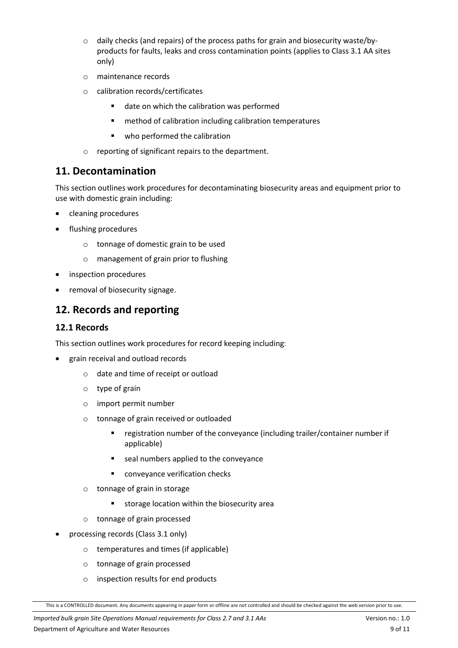- $\circ$  daily checks (and repairs) of the process paths for grain and biosecurity waste/byproducts for faults, leaks and cross contamination points (applies to Class 3.1 AA sites only)
- o maintenance records
- o calibration records/certificates
	- date on which the calibration was performed
	- **F** method of calibration including calibration temperatures
	- **•** who performed the calibration
- o reporting of significant repairs to the department.

## <span id="page-8-0"></span>**11. Decontamination**

This section outlines work procedures for decontaminating biosecurity areas and equipment prior to use with domestic grain including:

- cleaning procedures
- flushing procedures
	- o tonnage of domestic grain to be used
	- o management of grain prior to flushing
- inspection procedures
- removal of biosecurity signage.

# <span id="page-8-1"></span>**12. Records and reporting**

#### <span id="page-8-2"></span>**12.1 Records**

This section outlines work procedures for record keeping including:

- grain receival and outload records
	- o date and time of receipt or outload
	- o type of grain
	- o import permit number
	- o tonnage of grain received or outloaded
		- **F** registration number of the conveyance (including trailer/container number if applicable)
		- seal numbers applied to the conveyance
		- **•** conveyance verification checks
	- o tonnage of grain in storage
		- **storage location within the biosecurity area**
	- o tonnage of grain processed
- processing records (Class 3.1 only)
	- o temperatures and times (if applicable)
	- o tonnage of grain processed
	- o inspection results for end products